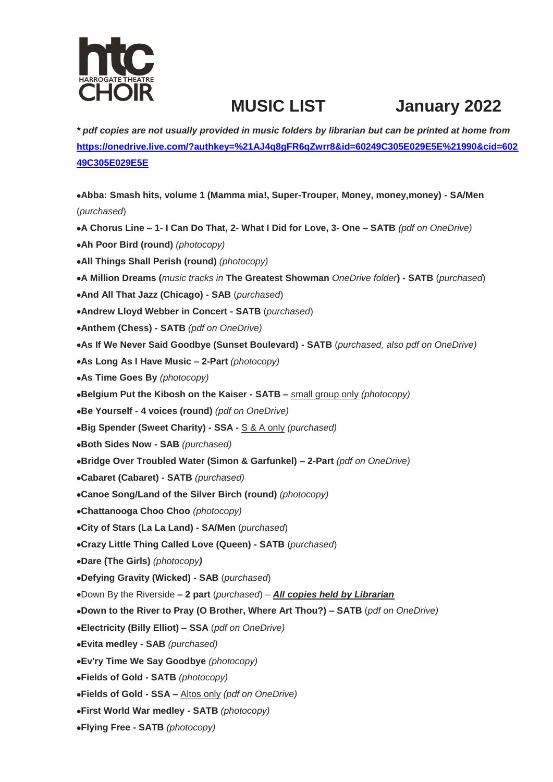

## **MUSIC LIST January 2022**

*\* pdf copies are not usually provided in music folders by librarian but can be printed at home from* **[https://onedrive.live.com/?authkey=%21AJ4q8gFR6qZwrr8&id=60249C305E029E5E%21990&cid=602](https://onedrive.live.com/?authkey=%21AJ4q8gFR6qZwrr8&id=60249C305E029E5E%21990&cid=60249C305E029E5E) [49C305E029E5E](https://onedrive.live.com/?authkey=%21AJ4q8gFR6qZwrr8&id=60249C305E029E5E%21990&cid=60249C305E029E5E)**

**Abba: Smash hits, volume 1 (Mamma mia!, Super-Trouper, Money, money,money) - SA/Men**  (*purchased*) **A Chorus Line – 1- I Can Do That, 2- What I Did for Love, 3- One – SATB** *(pdf on OneDrive)* **Ah Poor Bird (round)** *(photocopy)* **All Things Shall Perish (round)** *(photocopy)* **A Million Dreams (***music tracks in* **The Greatest Showman** *OneDrive folder***) - SATB** (*purchased*) **And All That Jazz (Chicago) - SAB** (*purchased*) **Andrew Lloyd Webber in Concert - SATB** (*purchased*) **Anthem (Chess) - SATB** *(pdf on OneDrive)* **As If We Never Said Goodbye (Sunset Boulevard) - SATB** (*purchased, also pdf on OneDrive)* **As Long As I Have Music – 2-Part** *(photocopy)* **As Time Goes By** *(photocopy)* **Belgium Put the Kibosh on the Kaiser - SATB –** small group only *(photocopy)* **Be Yourself - 4 voices (round)** *(pdf on OneDrive)* **Big Spender (Sweet Charity) - SSA -** S & A only *(purchased)* **Both Sides Now - SAB** *(purchased)* **Bridge Over Troubled Water (Simon & Garfunkel) – 2-Part** *(pdf on OneDrive)* **Cabaret (Cabaret) - SATB** *(purchased)*  **Canoe Song/Land of the Silver Birch (round)** *(photocopy)* **Chattanooga Choo Choo** *(photocopy)* **City of Stars (La La Land) - SA/Men** (*purchased*) **Crazy Little Thing Called Love (Queen) - SATB** (*purchased*) **Dare (The Girls)** *(photocopy)* **Defying Gravity (Wicked) - SAB** (*purchased*) Down By the Riverside **– 2 part** (*purchased*) – *All copies held by Librarian* **Down to the River to Pray (O Brother, Where Art Thou?) – SATB** (*pdf on OneDrive)* **Electricity (Billy Elliot) – SSA** (*pdf on OneDrive)* **Evita medley - SAB** *(purchased)* **Ev'ry Time We Say Goodbye** *(photocopy)* **Fields of Gold - SATB** *(photocopy)* **Fields of Gold - SSA –** Altos only *(pdf on OneDrive)* **First World War medley - SATB** *(photocopy)* **Flying Free - SATB** *(photocopy)*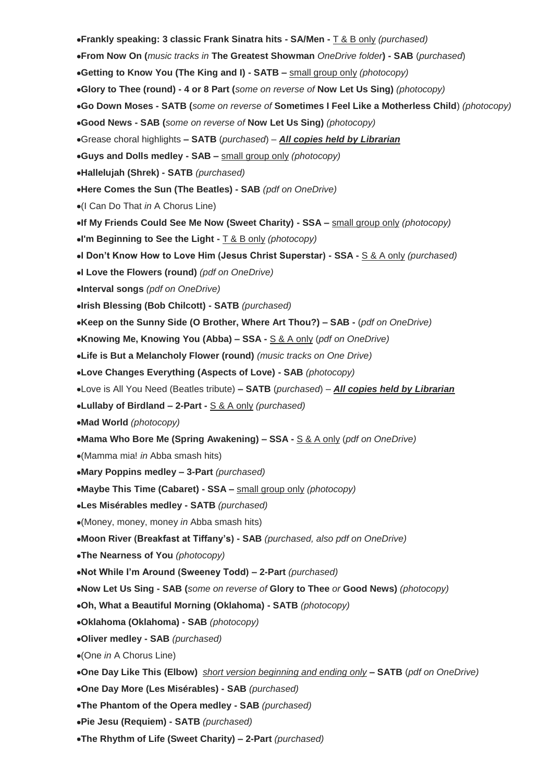**Frankly speaking: 3 classic Frank Sinatra hits - SA/Men -** T & B only *(purchased)* **From Now On (***music tracks in* **The Greatest Showman** *OneDrive folder***) - SAB** (*purchased*) **Getting to Know You (The King and I) - SATB –** small group only *(photocopy)* **Glory to Thee (round) - 4 or 8 Part (***some on reverse of* **Now Let Us Sing)** *(photocopy)* **Go Down Moses - SATB (***some on reverse of* **Sometimes I Feel Like a Motherless Child**) *(photocopy)* **Good News - SAB (***some on reverse of* **Now Let Us Sing)** *(photocopy)* Grease choral highlights **– SATB** (*purchased*) – *All copies held by Librarian* **Guys and Dolls medley - SAB –** small group only *(photocopy)* **Hallelujah (Shrek) - SATB** *(purchased)* **Here Comes the Sun (The Beatles) - SAB** *(pdf on OneDrive)* (I Can Do That *in* A Chorus Line) **If My Friends Could See Me Now (Sweet Charity) - SSA –** small group only *(photocopy)* **I'm Beginning to See the Light -** T & B only *(photocopy)* **I Don't Know How to Love Him (Jesus Christ Superstar) - SSA -** S & A only *(purchased)*  **I Love the Flowers (round)** *(pdf on OneDrive)* **Interval songs** *(pdf on OneDrive)* **Irish Blessing (Bob Chilcott) - SATB** *(purchased)*  **Keep on the Sunny Side (O Brother, Where Art Thou?) – SAB -** (*pdf on OneDrive)* **Knowing Me, Knowing You (Abba) – SSA -** S & A only (*pdf on OneDrive)* **Life is But a Melancholy Flower (round)** *(music tracks on One Drive)* **Love Changes Everything (Aspects of Love) - SAB** *(photocopy)* Love is All You Need (Beatles tribute) **– SATB** (*purchased*) – *All copies held by Librarian* **Lullaby of Birdland – 2-Part -** S & A only *(purchased)*  **Mad World** *(photocopy)* **Mama Who Bore Me (Spring Awakening) – SSA -** S & A only (*pdf on OneDrive)* (Mamma mia! *in* Abba smash hits) **Mary Poppins medley – 3-Part** *(purchased)*  **Maybe This Time (Cabaret) - SSA –** small group only *(photocopy)* **Les Misérables medley - SATB** *(purchased)* (Money, money, money *in* Abba smash hits) **Moon River (Breakfast at Tiffany's) - SAB** *(purchased, also pdf on OneDrive)* **The Nearness of You** *(photocopy)* **Not While I'm Around (Sweeney Todd) – 2-Part** *(purchased)* **Now Let Us Sing - SAB (***some on reverse of* **Glory to Thee** *or* **Good News)** *(photocopy)* **Oh, What a Beautiful Morning (Oklahoma) - SATB** *(photocopy)* **Oklahoma (Oklahoma) - SAB** *(photocopy)*  **Oliver medley - SAB** *(purchased)* (One *in* A Chorus Line) **One Day Like This (Elbow)** *short version beginning and ending only* **– SATB** (*pdf on OneDrive)* **One Day More (Les Misérables) - SAB** *(purchased)* **The Phantom of the Opera medley - SAB** *(purchased)* **Pie Jesu (Requiem) - SATB** *(purchased)*  **The Rhythm of Life (Sweet Charity) – 2-Part** *(purchased)*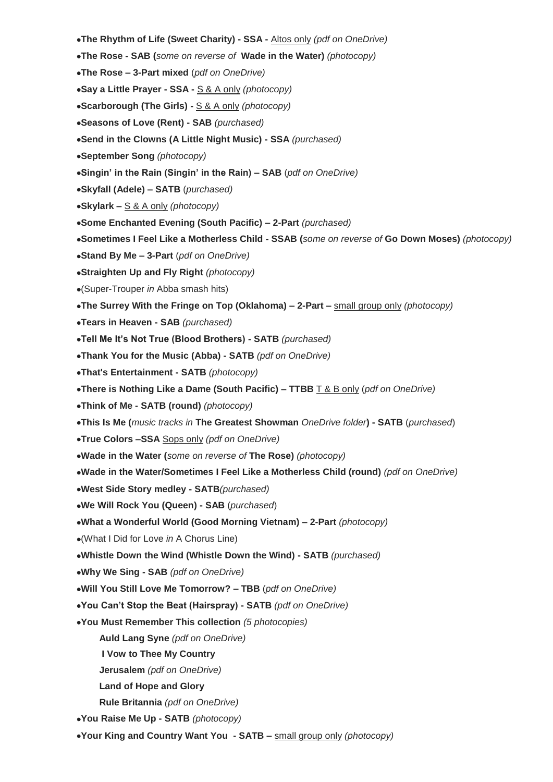- **The Rhythm of Life (Sweet Charity) - SSA -** Altos only *(pdf on OneDrive)*
- **The Rose - SAB (***some on reverse of* **Wade in the Water)** *(photocopy)*
- **The Rose – 3-Part mixed** (*pdf on OneDrive)*
- **Say a Little Prayer - SSA -** S & A only *(photocopy)*
- **Scarborough (The Girls) -** S & A only *(photocopy)*
- **Seasons of Love (Rent) - SAB** *(purchased)*
- **Send in the Clowns (A Little Night Music) - SSA** *(purchased)*
- **September Song** *(photocopy)*
- **Singin' in the Rain (Singin' in the Rain) – SAB** (*pdf on OneDrive)*
- **Skyfall (Adele) – SATB** (*purchased)*
- **Skylark –** S & A only *(photocopy)*
- **Some Enchanted Evening (South Pacific) – 2-Part** *(purchased)*
- **Sometimes I Feel Like a Motherless Child - SSAB (***some on reverse of* **Go Down Moses)** *(photocopy)*
- **Stand By Me – 3-Part** (*pdf on OneDrive)*
- **Straighten Up and Fly Right** *(photocopy)*
- (Super-Trouper *in* Abba smash hits)
- **The Surrey With the Fringe on Top (Oklahoma) – 2-Part –** small group only *(photocopy)*
- **Tears in Heaven - SAB** *(purchased)*
- **Tell Me It's Not True (Blood Brothers) - SATB** *(purchased)*
- **Thank You for the Music (Abba) - SATB** *(pdf on OneDrive)*
- **That's Entertainment - SATB** *(photocopy)*
- **There is Nothing Like a Dame (South Pacific) – TTBB** T & B only (*pdf on OneDrive)*
- **Think of Me - SATB (round)** *(photocopy)*
- **This Is Me (***music tracks in* **The Greatest Showman** *OneDrive folder***) - SATB** (*purchased*)
- **True Colors –SSA** Sops only *(pdf on OneDrive)*
- **Wade in the Water (***some on reverse of* **The Rose)** *(photocopy)*
- **Wade in the Water/Sometimes I Feel Like a Motherless Child (round)** *(pdf on OneDrive)*
- **West Side Story medley - SATB***(purchased)*
- **We Will Rock You (Queen) - SAB** (*purchased*)
- **What a Wonderful World (Good Morning Vietnam) – 2-Part** *(photocopy)*
- (What I Did for Love *in* A Chorus Line)
- **Whistle Down the Wind (Whistle Down the Wind) - SATB** *(purchased)*
- **Why We Sing - SAB** *(pdf on OneDrive)*
- **Will You Still Love Me Tomorrow? – TBB** (*pdf on OneDrive)*
- **You Can't Stop the Beat (Hairspray) - SATB** *(pdf on OneDrive)*
- **You Must Remember This collection** *(5 photocopies)*
	- **Auld Lang Syne** *(pdf on OneDrive)*
	- **I Vow to Thee My Country**
	- **Jerusalem** *(pdf on OneDrive)*
	- **Land of Hope and Glory**
	- **Rule Britannia** *(pdf on OneDrive)*
- **You Raise Me Up - SATB** *(photocopy)*
- **Your King and Country Want You - SATB –** small group only *(photocopy)*